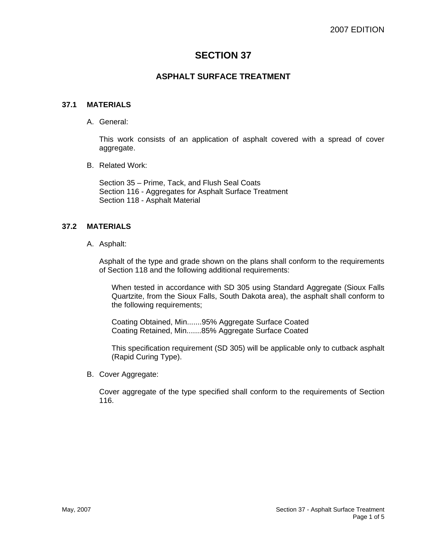# **SECTION 37**

## **ASPHALT SURFACE TREATMENT**

#### **37.1 MATERIALS**

A. General:

This work consists of an application of asphalt covered with a spread of cover aggregate.

B. Related Work:

Section 35 – Prime, Tack, and Flush Seal Coats Section 116 - Aggregates for Asphalt Surface Treatment Section 118 - Asphalt Material

## **37.2 MATERIALS**

A. Asphalt:

Asphalt of the type and grade shown on the plans shall conform to the requirements of Section 118 and the following additional requirements:

When tested in accordance with SD 305 using Standard Aggregate (Sioux Falls Quartzite, from the Sioux Falls, South Dakota area), the asphalt shall conform to the following requirements;

Coating Obtained, Min.......95% Aggregate Surface Coated Coating Retained, Min.......85% Aggregate Surface Coated

This specification requirement (SD 305) will be applicable only to cutback asphalt (Rapid Curing Type).

B. Cover Aggregate:

Cover aggregate of the type specified shall conform to the requirements of Section 116.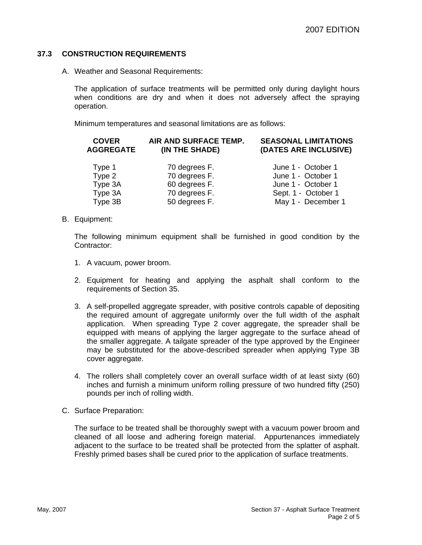## **37.3 CONSTRUCTION REQUIREMENTS**

A. Weather and Seasonal Requirements:

The application of surface treatments will be permitted only during daylight hours when conditions are dry and when it does not adversely affect the spraying operation.

Minimum temperatures and seasonal limitations are as follows:

| <b>COVER</b><br><b>AGGREGATE</b> | AIR AND SURFACE TEMP.<br>(IN THE SHADE) | <b>SEASONAL LIMITATIONS</b><br>(DATES ARE INCLUSIVE) |
|----------------------------------|-----------------------------------------|------------------------------------------------------|
| Type 1                           | 70 degrees F.                           | June 1 - October 1                                   |
| Type 2                           | 70 degrees F.                           | June 1 - October 1                                   |
| Type 3A                          | 60 degrees F.                           | June 1 - October 1                                   |
| Type 3A                          | 70 degrees F.                           | Sept. 1 - October 1                                  |
| Type 3B                          | 50 degrees F.                           | May 1 - December 1                                   |

B. Equipment:

The following minimum equipment shall be furnished in good condition by the Contractor:

- 1. A vacuum, power broom.
- 2. Equipment for heating and applying the asphalt shall conform to the requirements of Section 35.
- 3. A self-propelled aggregate spreader, with positive controls capable of depositing the required amount of aggregate uniformly over the full width of the asphalt application. When spreading Type 2 cover aggregate, the spreader shall be equipped with means of applying the larger aggregate to the surface ahead of the smaller aggregate. A tailgate spreader of the type approved by the Engineer may be substituted for the above-described spreader when applying Type 3B cover aggregate.
- 4. The rollers shall completely cover an overall surface width of at least sixty (60) inches and furnish a minimum uniform rolling pressure of two hundred fifty (250) pounds per inch of rolling width.
- C. Surface Preparation:

The surface to be treated shall be thoroughly swept with a vacuum power broom and cleaned of all loose and adhering foreign material. Appurtenances immediately adjacent to the surface to be treated shall be protected from the splatter of asphalt. Freshly primed bases shall be cured prior to the application of surface treatments.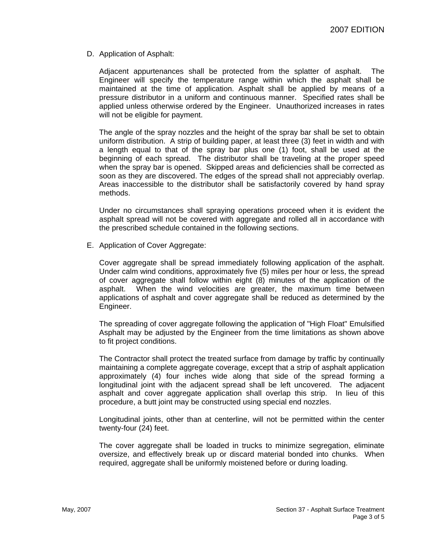D. Application of Asphalt:

Adjacent appurtenances shall be protected from the splatter of asphalt. The Engineer will specify the temperature range within which the asphalt shall be maintained at the time of application. Asphalt shall be applied by means of a pressure distributor in a uniform and continuous manner. Specified rates shall be applied unless otherwise ordered by the Engineer. Unauthorized increases in rates will not be eligible for payment.

The angle of the spray nozzles and the height of the spray bar shall be set to obtain uniform distribution. A strip of building paper, at least three (3) feet in width and with a length equal to that of the spray bar plus one (1) foot, shall be used at the beginning of each spread. The distributor shall be traveling at the proper speed when the spray bar is opened. Skipped areas and deficiencies shall be corrected as soon as they are discovered. The edges of the spread shall not appreciably overlap. Areas inaccessible to the distributor shall be satisfactorily covered by hand spray methods.

Under no circumstances shall spraying operations proceed when it is evident the asphalt spread will not be covered with aggregate and rolled all in accordance with the prescribed schedule contained in the following sections.

E. Application of Cover Aggregate:

Cover aggregate shall be spread immediately following application of the asphalt. Under calm wind conditions, approximately five (5) miles per hour or less, the spread of cover aggregate shall follow within eight (8) minutes of the application of the asphalt. When the wind velocities are greater, the maximum time between applications of asphalt and cover aggregate shall be reduced as determined by the Engineer.

The spreading of cover aggregate following the application of "High Float" Emulsified Asphalt may be adjusted by the Engineer from the time limitations as shown above to fit project conditions.

The Contractor shall protect the treated surface from damage by traffic by continually maintaining a complete aggregate coverage, except that a strip of asphalt application approximately (4) four inches wide along that side of the spread forming a longitudinal joint with the adjacent spread shall be left uncovered. The adjacent asphalt and cover aggregate application shall overlap this strip. In lieu of this procedure, a butt joint may be constructed using special end nozzles.

Longitudinal joints, other than at centerline, will not be permitted within the center twenty-four (24) feet.

The cover aggregate shall be loaded in trucks to minimize segregation, eliminate oversize, and effectively break up or discard material bonded into chunks. When required, aggregate shall be uniformly moistened before or during loading.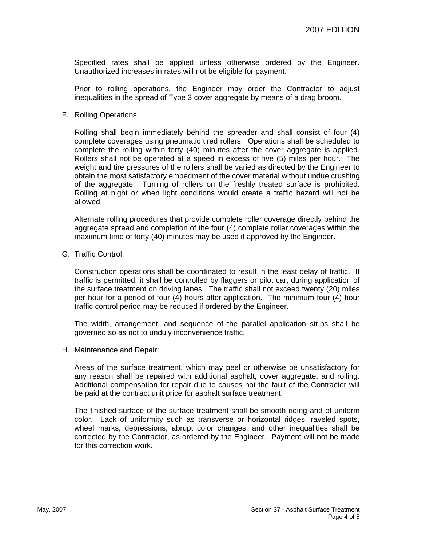Specified rates shall be applied unless otherwise ordered by the Engineer. Unauthorized increases in rates will not be eligible for payment.

Prior to rolling operations, the Engineer may order the Contractor to adjust inequalities in the spread of Type 3 cover aggregate by means of a drag broom.

F. Rolling Operations:

Rolling shall begin immediately behind the spreader and shall consist of four (4) complete coverages using pneumatic tired rollers. Operations shall be scheduled to complete the rolling within forty (40) minutes after the cover aggregate is applied. Rollers shall not be operated at a speed in excess of five (5) miles per hour. The weight and tire pressures of the rollers shall be varied as directed by the Engineer to obtain the most satisfactory embedment of the cover material without undue crushing of the aggregate. Turning of rollers on the freshly treated surface is prohibited. Rolling at night or when light conditions would create a traffic hazard will not be allowed.

Alternate rolling procedures that provide complete roller coverage directly behind the aggregate spread and completion of the four (4) complete roller coverages within the maximum time of forty (40) minutes may be used if approved by the Engineer.

G. Traffic Control:

Construction operations shall be coordinated to result in the least delay of traffic. If traffic is permitted, it shall be controlled by flaggers or pilot car, during application of the surface treatment on driving lanes. The traffic shall not exceed twenty (20) miles per hour for a period of four (4) hours after application. The minimum four (4) hour traffic control period may be reduced if ordered by the Engineer.

The width, arrangement, and sequence of the parallel application strips shall be governed so as not to unduly inconvenience traffic.

H. Maintenance and Repair:

Areas of the surface treatment, which may peel or otherwise be unsatisfactory for any reason shall be repaired with additional asphalt, cover aggregate, and rolling. Additional compensation for repair due to causes not the fault of the Contractor will be paid at the contract unit price for asphalt surface treatment.

The finished surface of the surface treatment shall be smooth riding and of uniform color. Lack of uniformity such as transverse or horizontal ridges, raveled spots, wheel marks, depressions, abrupt color changes, and other inequalities shall be corrected by the Contractor, as ordered by the Engineer. Payment will not be made for this correction work.